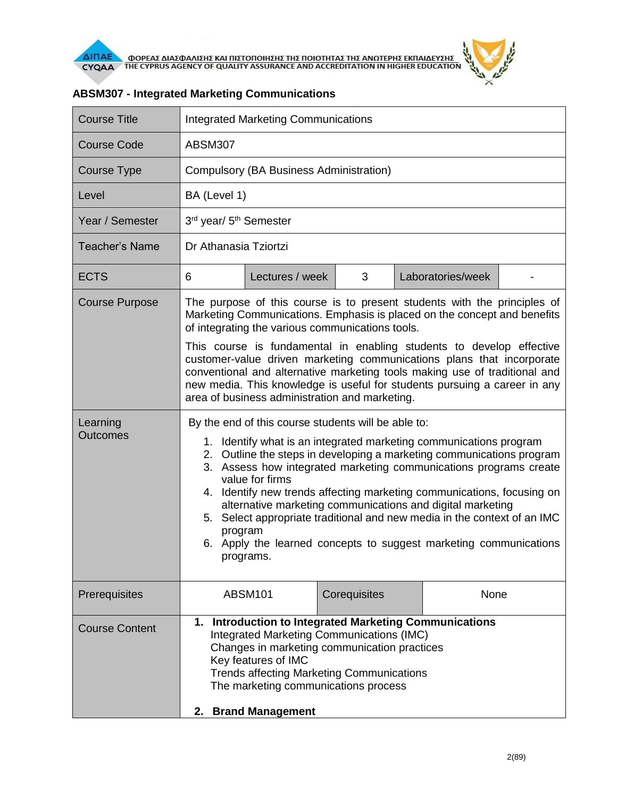

| <b>Course Title</b>         | <b>Integrated Marketing Communications</b>                                                                                                                                                                                                                                                                                                                                                                                                                                                                                                                                                                  |                 |              |  |                   |  |
|-----------------------------|-------------------------------------------------------------------------------------------------------------------------------------------------------------------------------------------------------------------------------------------------------------------------------------------------------------------------------------------------------------------------------------------------------------------------------------------------------------------------------------------------------------------------------------------------------------------------------------------------------------|-----------------|--------------|--|-------------------|--|
| <b>Course Code</b>          | <b>ABSM307</b>                                                                                                                                                                                                                                                                                                                                                                                                                                                                                                                                                                                              |                 |              |  |                   |  |
| <b>Course Type</b>          | <b>Compulsory (BA Business Administration)</b>                                                                                                                                                                                                                                                                                                                                                                                                                                                                                                                                                              |                 |              |  |                   |  |
| Level                       |                                                                                                                                                                                                                                                                                                                                                                                                                                                                                                                                                                                                             | BA (Level 1)    |              |  |                   |  |
| Year / Semester             | 3rd year/ 5 <sup>th</sup> Semester                                                                                                                                                                                                                                                                                                                                                                                                                                                                                                                                                                          |                 |              |  |                   |  |
| <b>Teacher's Name</b>       | Dr Athanasia Tziortzi                                                                                                                                                                                                                                                                                                                                                                                                                                                                                                                                                                                       |                 |              |  |                   |  |
| <b>ECTS</b>                 | 6                                                                                                                                                                                                                                                                                                                                                                                                                                                                                                                                                                                                           | Lectures / week | 3            |  | Laboratories/week |  |
| <b>Course Purpose</b>       | The purpose of this course is to present students with the principles of<br>Marketing Communications. Emphasis is placed on the concept and benefits<br>of integrating the various communications tools.                                                                                                                                                                                                                                                                                                                                                                                                    |                 |              |  |                   |  |
|                             | This course is fundamental in enabling students to develop effective<br>customer-value driven marketing communications plans that incorporate<br>conventional and alternative marketing tools making use of traditional and<br>new media. This knowledge is useful for students pursuing a career in any<br>area of business administration and marketing.                                                                                                                                                                                                                                                  |                 |              |  |                   |  |
| Learning<br><b>Outcomes</b> | By the end of this course students will be able to:<br>1. Identify what is an integrated marketing communications program<br>2. Outline the steps in developing a marketing communications program<br>3. Assess how integrated marketing communications programs create<br>value for firms<br>4. Identify new trends affecting marketing communications, focusing on<br>alternative marketing communications and digital marketing<br>5. Select appropriate traditional and new media in the context of an IMC<br>program<br>6. Apply the learned concepts to suggest marketing communications<br>programs. |                 |              |  |                   |  |
| Prerequisites               |                                                                                                                                                                                                                                                                                                                                                                                                                                                                                                                                                                                                             | <b>ABSM101</b>  | Corequisites |  | None              |  |
| <b>Course Content</b>       | 1. Introduction to Integrated Marketing Communications<br>Integrated Marketing Communications (IMC)<br>Changes in marketing communication practices<br>Key features of IMC<br><b>Trends affecting Marketing Communications</b><br>The marketing communications process<br>2. Brand Management                                                                                                                                                                                                                                                                                                               |                 |              |  |                   |  |

## **ABSM307 - Integrated Marketing Communications**

 $\tilde{r}$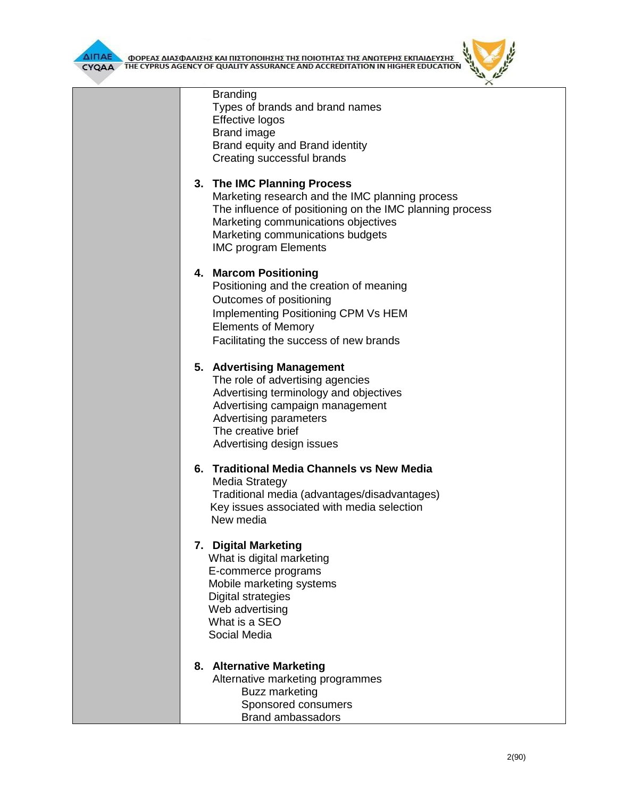**AIFIAE A OOPEAE AIAE DANIERE KAI FILETOFIOIRERE TRE FIOIOTRITAE TRE ANOTEPRE EKFIAIAEYERE** 



| <b>Branding</b><br>Types of brands and brand names<br>Effective logos<br><b>Brand image</b><br>Brand equity and Brand identity<br>Creating successful brands                                                                                         |
|------------------------------------------------------------------------------------------------------------------------------------------------------------------------------------------------------------------------------------------------------|
| 3. The IMC Planning Process<br>Marketing research and the IMC planning process<br>The influence of positioning on the IMC planning process<br>Marketing communications objectives<br>Marketing communications budgets<br><b>IMC program Elements</b> |
| 4. Marcom Positioning<br>Positioning and the creation of meaning<br>Outcomes of positioning<br><b>Implementing Positioning CPM Vs HEM</b><br><b>Elements of Memory</b><br>Facilitating the success of new brands                                     |
| 5. Advertising Management<br>The role of advertising agencies<br>Advertising terminology and objectives<br>Advertising campaign management<br><b>Advertising parameters</b><br>The creative brief<br>Advertising design issues                       |
| 6. Traditional Media Channels vs New Media<br>Media Strategy<br>Traditional media (advantages/disadvantages)<br>Key issues associated with media selection<br>New media                                                                              |
| 7. Digital Marketing<br>What is digital marketing<br>E-commerce programs<br>Mobile marketing systems<br>Digital strategies<br>Web advertising<br>What is a SEO<br>Social Media                                                                       |
| 8. Alternative Marketing<br>Alternative marketing programmes<br>Buzz marketing<br>Sponsored consumers<br><b>Brand ambassadors</b>                                                                                                                    |

 $\theta$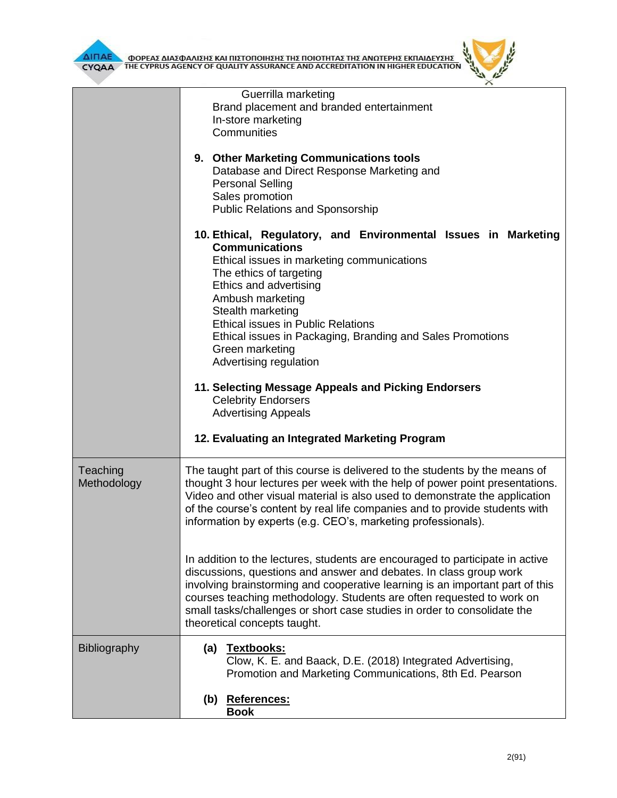

|                         | Guerrilla marketing<br>Brand placement and branded entertainment<br>In-store marketing<br>Communities<br>9. Other Marketing Communications tools<br>Database and Direct Response Marketing and<br><b>Personal Selling</b><br>Sales promotion<br><b>Public Relations and Sponsorship</b>                                                                                                                                   |  |  |  |
|-------------------------|---------------------------------------------------------------------------------------------------------------------------------------------------------------------------------------------------------------------------------------------------------------------------------------------------------------------------------------------------------------------------------------------------------------------------|--|--|--|
|                         | 10. Ethical, Regulatory, and Environmental Issues in Marketing<br><b>Communications</b><br>Ethical issues in marketing communications<br>The ethics of targeting<br>Ethics and advertising<br>Ambush marketing<br>Stealth marketing<br><b>Ethical issues in Public Relations</b><br>Ethical issues in Packaging, Branding and Sales Promotions<br>Green marketing<br>Advertising regulation                               |  |  |  |
|                         | 11. Selecting Message Appeals and Picking Endorsers<br><b>Celebrity Endorsers</b><br><b>Advertising Appeals</b><br>12. Evaluating an Integrated Marketing Program                                                                                                                                                                                                                                                         |  |  |  |
| Teaching<br>Methodology | The taught part of this course is delivered to the students by the means of<br>thought 3 hour lectures per week with the help of power point presentations.<br>Video and other visual material is also used to demonstrate the application<br>of the course's content by real life companies and to provide students with<br>information by experts (e.g. CEO's, marketing professionals).                                |  |  |  |
|                         | In addition to the lectures, students are encouraged to participate in active<br>discussions, questions and answer and debates. In class group work<br>involving brainstorming and cooperative learning is an important part of this<br>courses teaching methodology. Students are often requested to work on<br>small tasks/challenges or short case studies in order to consolidate the<br>theoretical concepts taught. |  |  |  |
| <b>Bibliography</b>     | (a) Textbooks:<br>Clow, K. E. and Baack, D.E. (2018) Integrated Advertising,<br>Promotion and Marketing Communications, 8th Ed. Pearson<br>(b) References:<br><b>Book</b>                                                                                                                                                                                                                                                 |  |  |  |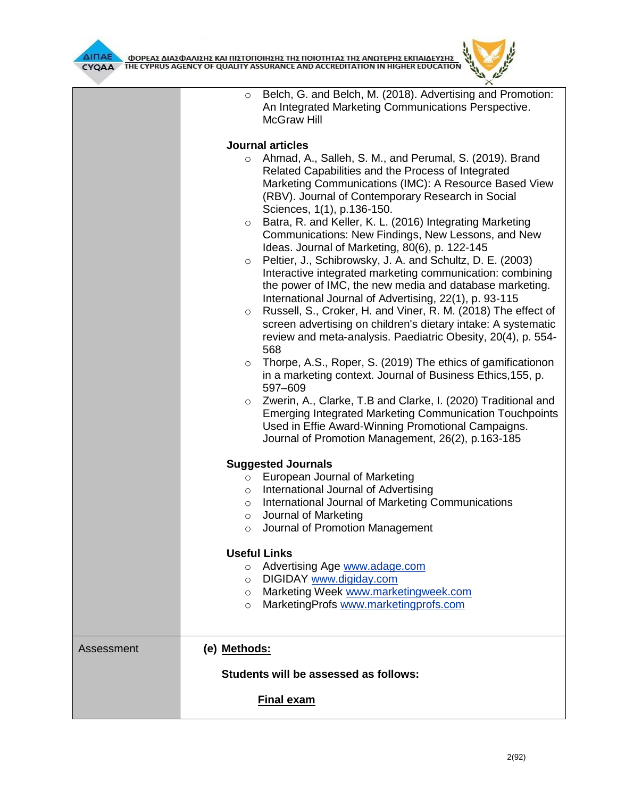



|            | Belch, G. and Belch, M. (2018). Advertising and Promotion:<br>$\circ$<br>An Integrated Marketing Communications Perspective.<br><b>McGraw Hill</b>                                                                                                                                                                                                                                                                                                                                                                                                                                                                                                                                                                                                                                                                                                                                                                                                                                                                                                                                                                                                                                                                                                                                        |  |  |  |  |
|------------|-------------------------------------------------------------------------------------------------------------------------------------------------------------------------------------------------------------------------------------------------------------------------------------------------------------------------------------------------------------------------------------------------------------------------------------------------------------------------------------------------------------------------------------------------------------------------------------------------------------------------------------------------------------------------------------------------------------------------------------------------------------------------------------------------------------------------------------------------------------------------------------------------------------------------------------------------------------------------------------------------------------------------------------------------------------------------------------------------------------------------------------------------------------------------------------------------------------------------------------------------------------------------------------------|--|--|--|--|
|            | <b>Journal articles</b>                                                                                                                                                                                                                                                                                                                                                                                                                                                                                                                                                                                                                                                                                                                                                                                                                                                                                                                                                                                                                                                                                                                                                                                                                                                                   |  |  |  |  |
|            | Ahmad, A., Salleh, S. M., and Perumal, S. (2019). Brand<br>$\circ$<br>Related Capabilities and the Process of Integrated<br>Marketing Communications (IMC): A Resource Based View<br>(RBV). Journal of Contemporary Research in Social<br>Sciences, 1(1), p.136-150.<br>Batra, R. and Keller, K. L. (2016) Integrating Marketing<br>$\circ$<br>Communications: New Findings, New Lessons, and New<br>Ideas. Journal of Marketing, 80(6), p. 122-145<br>Peltier, J., Schibrowsky, J. A. and Schultz, D. E. (2003)<br>$\circ$<br>Interactive integrated marketing communication: combining<br>the power of IMC, the new media and database marketing.<br>International Journal of Advertising, 22(1), p. 93-115<br>Russell, S., Croker, H. and Viner, R. M. (2018) The effect of<br>$\circ$<br>screen advertising on children's dietary intake: A systematic<br>review and meta-analysis. Paediatric Obesity, 20(4), p. 554-<br>568<br>Thorpe, A.S., Roper, S. (2019) The ethics of gamificationon<br>$\circ$<br>in a marketing context. Journal of Business Ethics, 155, p.<br>597-609<br>Zwerin, A., Clarke, T.B and Clarke, I. (2020) Traditional and<br>$\circ$<br><b>Emerging Integrated Marketing Communication Touchpoints</b><br>Used in Effie Award-Winning Promotional Campaigns. |  |  |  |  |
|            | Journal of Promotion Management, 26(2), p.163-185                                                                                                                                                                                                                                                                                                                                                                                                                                                                                                                                                                                                                                                                                                                                                                                                                                                                                                                                                                                                                                                                                                                                                                                                                                         |  |  |  |  |
|            | <b>Suggested Journals</b><br>European Journal of Marketing<br>$\circ$<br>International Journal of Advertising<br>$\circ$<br>International Journal of Marketing Communications<br>$\circ$<br>Journal of Marketing<br>$\circ$<br>Journal of Promotion Management<br>$\circ$                                                                                                                                                                                                                                                                                                                                                                                                                                                                                                                                                                                                                                                                                                                                                                                                                                                                                                                                                                                                                 |  |  |  |  |
|            | <b>Useful Links</b>                                                                                                                                                                                                                                                                                                                                                                                                                                                                                                                                                                                                                                                                                                                                                                                                                                                                                                                                                                                                                                                                                                                                                                                                                                                                       |  |  |  |  |
|            | Advertising Age www.adage.com<br>$\circ$<br>DIGIDAY www.digiday.com<br>$\circ$<br>Marketing Week www.marketingweek.com<br>$\circ$<br>MarketingProfs www.marketingprofs.com<br>$\circ$                                                                                                                                                                                                                                                                                                                                                                                                                                                                                                                                                                                                                                                                                                                                                                                                                                                                                                                                                                                                                                                                                                     |  |  |  |  |
| Assessment | (e) Methods:                                                                                                                                                                                                                                                                                                                                                                                                                                                                                                                                                                                                                                                                                                                                                                                                                                                                                                                                                                                                                                                                                                                                                                                                                                                                              |  |  |  |  |
|            | Students will be assessed as follows:                                                                                                                                                                                                                                                                                                                                                                                                                                                                                                                                                                                                                                                                                                                                                                                                                                                                                                                                                                                                                                                                                                                                                                                                                                                     |  |  |  |  |
|            | <b>Final exam</b>                                                                                                                                                                                                                                                                                                                                                                                                                                                                                                                                                                                                                                                                                                                                                                                                                                                                                                                                                                                                                                                                                                                                                                                                                                                                         |  |  |  |  |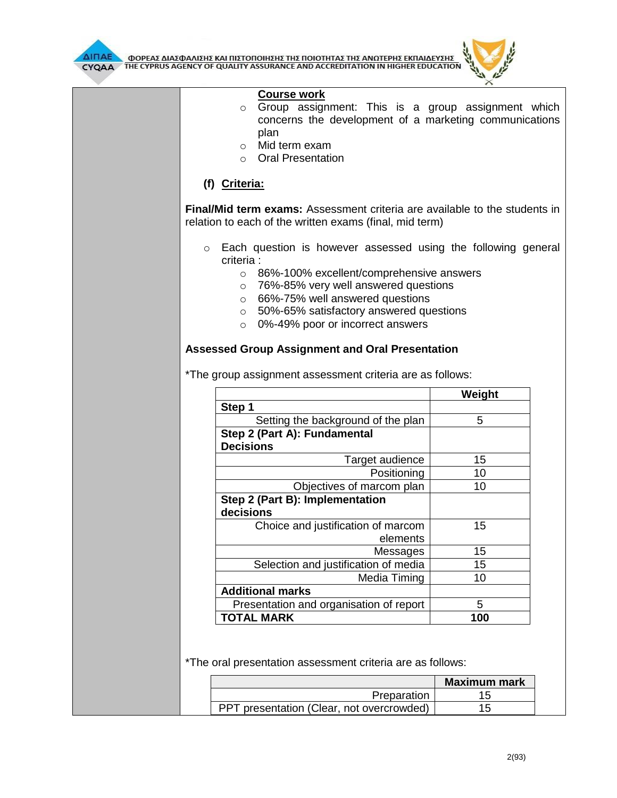

ΔΙΠΑΕΛ ΦΟΡΕΑΣ ΔΙΑΣΦΑΛΙΣΗΣ ΚΑΙ ΠΙΣΤΟΠΟΙΗΣΗΣ ΤΗΣ ΠΟΙΟΤΗΤΑΣ ΤΗΣ ΑΝΩΤΕΡΗΣ ΕΚΠΑΙΔΕΥΣΗΣ<br>CYQAA THE CYPRUS AGENCY OF QUALITY ASSURANCE AND ACCREDITATION IN HIGHER EDUCATION



| <b>Course work</b><br>Group assignment: This is a group assignment which<br>$\circ$<br>concerns the development of a marketing communications<br>plan<br>$\circ$ Mid term exam<br>○ Oral Presentation                                            |        |
|--------------------------------------------------------------------------------------------------------------------------------------------------------------------------------------------------------------------------------------------------|--------|
|                                                                                                                                                                                                                                                  |        |
| (f) Criteria:                                                                                                                                                                                                                                    |        |
| <b>Final/Mid term exams:</b> Assessment criteria are available to the students in<br>relation to each of the written exams (final, mid term)                                                                                                     |        |
| Each question is however assessed using the following general<br>$\circ$<br>criteria :                                                                                                                                                           |        |
| o 86%-100% excellent/comprehensive answers<br>76%-85% very well answered questions<br>$\circ$<br>66%-75% well answered questions<br>$\circ$<br>50%-65% satisfactory answered questions<br>$\circ$<br>0%-49% poor or incorrect answers<br>$\circ$ |        |
| <b>Assessed Group Assignment and Oral Presentation</b>                                                                                                                                                                                           |        |
| *The group assignment assessment criteria are as follows:                                                                                                                                                                                        |        |
|                                                                                                                                                                                                                                                  | Weight |
| Step 1                                                                                                                                                                                                                                           |        |
| Setting the background of the plan                                                                                                                                                                                                               | 5      |
|                                                                                                                                                                                                                                                  |        |
| Step 2 (Part A): Fundamental<br><b>Decisions</b>                                                                                                                                                                                                 |        |
| Target audience                                                                                                                                                                                                                                  | 15     |
| Positioning                                                                                                                                                                                                                                      | 10     |
| Objectives of marcom plan                                                                                                                                                                                                                        | 10     |
| Step 2 (Part B): Implementation<br>decisions                                                                                                                                                                                                     |        |
| Choice and justification of marcom                                                                                                                                                                                                               | 15     |
| elements                                                                                                                                                                                                                                         |        |
| Messages                                                                                                                                                                                                                                         | 15     |
| Selection and justification of media                                                                                                                                                                                                             | 15     |
| Media Timing                                                                                                                                                                                                                                     | 10     |
| <b>Additional marks</b><br>Presentation and organisation of report                                                                                                                                                                               | 5      |

\*The oral presentation assessment criteria are as follows:

|                                           | <b>Maximum mark</b> |
|-------------------------------------------|---------------------|
| Preparation                               |                     |
| PPT presentation (Clear, not overcrowded) |                     |